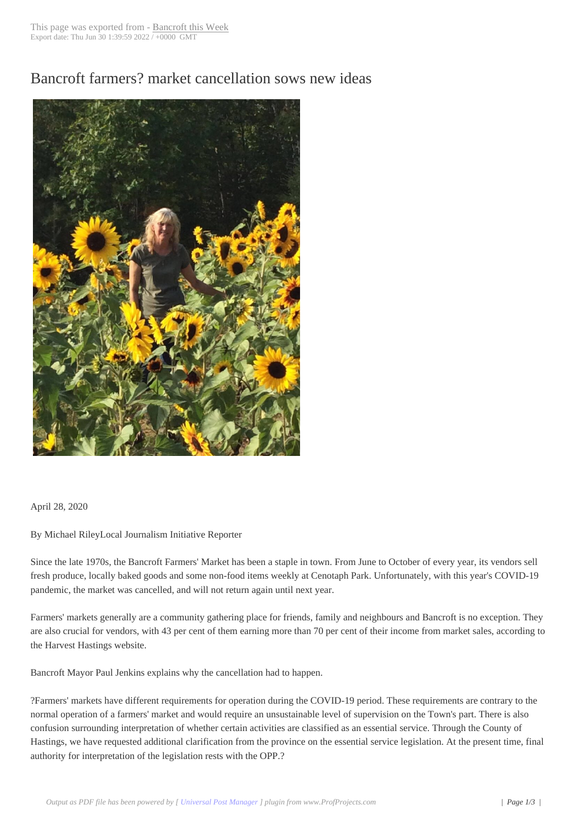## Bancroft farmers? [market cance](http://www.bancroftthisweek.com/?p=10478)llation sows new ideas



April 28, 2020

By Michael RileyLocal Journalism Initiative Reporter

Since the late 1970s, the Bancroft Farmers' Market has been a staple in town. From June to October of every year, its vendors sell fresh produce, locally baked goods and some non-food items weekly at Cenotaph Park. Unfortunately, with this year's COVID-19 pandemic, the market was cancelled, and will not return again until next year.

Farmers' markets generally are a community gathering place for friends, family and neighbours and Bancroft is no exception. They are also crucial for vendors, with 43 per cent of them earning more than 70 per cent of their income from market sales, according to the Harvest Hastings website.

Bancroft Mayor Paul Jenkins explains why the cancellation had to happen.

?Farmers' markets have different requirements for operation during the COVID-19 period. These requirements are contrary to the normal operation of a farmers' market and would require an unsustainable level of supervision on the Town's part. There is also confusion surrounding interpretation of whether certain activities are classified as an essential service. Through the County of Hastings, we have requested additional clarification from the province on the essential service legislation. At the present time, final authority for interpretation of the legislation rests with the OPP.?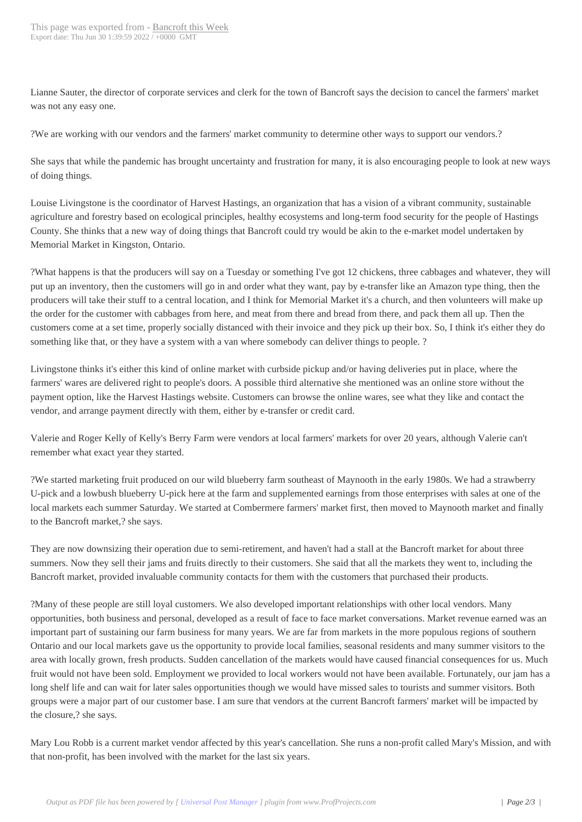Lianne Sauter, the director of corporate services and clerk for the town of Bancroft says the decision to cancel the farmers' market was not any easy one.

?We are working with our vendors and the farmers' market community to determine other ways to support our vendors.?

She says that while the pandemic has brought uncertainty and frustration for many, it is also encouraging people to look at new ways of doing things.

Louise Livingstone is the coordinator of Harvest Hastings, an organization that has a vision of a vibrant community, sustainable agriculture and forestry based on ecological principles, healthy ecosystems and long-term food security for the people of Hastings County. She thinks that a new way of doing things that Bancroft could try would be akin to the e-market model undertaken by Memorial Market in Kingston, Ontario.

?What happens is that the producers will say on a Tuesday or something I've got 12 chickens, three cabbages and whatever, they will put up an inventory, then the customers will go in and order what they want, pay by e-transfer like an Amazon type thing, then the producers will take their stuff to a central location, and I think for Memorial Market it's a church, and then volunteers will make up the order for the customer with cabbages from here, and meat from there and bread from there, and pack them all up. Then the customers come at a set time, properly socially distanced with their invoice and they pick up their box. So, I think it's either they do something like that, or they have a system with a van where somebody can deliver things to people. ?

Livingstone thinks it's either this kind of online market with curbside pickup and/or having deliveries put in place, where the farmers' wares are delivered right to people's doors. A possible third alternative she mentioned was an online store without the payment option, like the Harvest Hastings website. Customers can browse the online wares, see what they like and contact the vendor, and arrange payment directly with them, either by e-transfer or credit card.

Valerie and Roger Kelly of Kelly's Berry Farm were vendors at local farmers' markets for over 20 years, although Valerie can't remember what exact year they started.

?We started marketing fruit produced on our wild blueberry farm southeast of Maynooth in the early 1980s. We had a strawberry U-pick and a lowbush blueberry U-pick here at the farm and supplemented earnings from those enterprises with sales at one of the local markets each summer Saturday. We started at Combermere farmers' market first, then moved to Maynooth market and finally to the Bancroft market,? she says.

They are now downsizing their operation due to semi-retirement, and haven't had a stall at the Bancroft market for about three summers. Now they sell their jams and fruits directly to their customers. She said that all the markets they went to, including the Bancroft market, provided invaluable community contacts for them with the customers that purchased their products.

?Many of these people are still loyal customers. We also developed important relationships with other local vendors. Many opportunities, both business and personal, developed as a result of face to face market conversations. Market revenue earned was an important part of sustaining our farm business for many years. We are far from markets in the more populous regions of southern Ontario and our local markets gave us the opportunity to provide local families, seasonal residents and many summer visitors to the area with locally grown, fresh products. Sudden cancellation of the markets would have caused financial consequences for us. Much fruit would not have been sold. Employment we provided to local workers would not have been available. Fortunately, our jam has a long shelf life and can wait for later sales opportunities though we would have missed sales to tourists and summer visitors. Both groups were a major part of our customer base. I am sure that vendors at the current Bancroft farmers' market will be impacted by the closure,? she says.

Mary Lou Robb is a current market vendor affected by this year's cancellation. She runs a non-profit called Mary's Mission, and with that non-profit, has been involved with the market for the last six years.